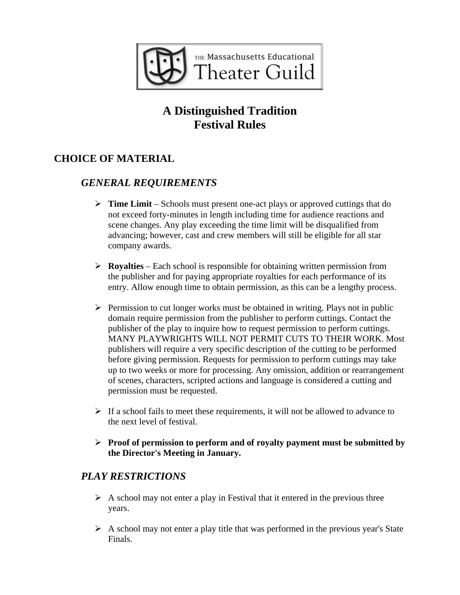

# **A Distinguished Tradition Festival Rules**

## **CHOICE OF MATERIAL**

#### *GENERAL REQUIREMENTS*

- **Time Limit** Schools must present one-act plays or approved cuttings that do not exceed forty-minutes in length including time for audience reactions and scene changes. Any play exceeding the time limit will be disqualified from advancing; however, cast and crew members will still be eligible for all star company awards.
- $\triangleright$  **Royalties** Each school is responsible for obtaining written permission from the publisher and for paying appropriate royalties for each performance of its entry. Allow enough time to obtain permission, as this can be a lengthy process.
- $\triangleright$  Permission to cut longer works must be obtained in writing. Plays not in public domain require permission from the publisher to perform cuttings. Contact the publisher of the play to inquire how to request permission to perform cuttings. MANY PLAYWRIGHTS WILL NOT PERMIT CUTS TO THEIR WORK. Most publishers will require a very specific description of the cutting to be performed before giving permission. Requests for permission to perform cuttings may take up to two weeks or more for processing. Any omission, addition or rearrangement of scenes, characters, scripted actions and language is considered a cutting and permission must be requested.
- $\triangleright$  If a school fails to meet these requirements, it will not be allowed to advance to the next level of festival.
- **Proof of permission to perform and of royalty payment must be submitted by the Director's Meeting in January.**

#### *PLAY RESTRICTIONS*

- $\triangleright$  A school may not enter a play in Festival that it entered in the previous three years.
- $\triangleright$  A school may not enter a play title that was performed in the previous year's State Finals.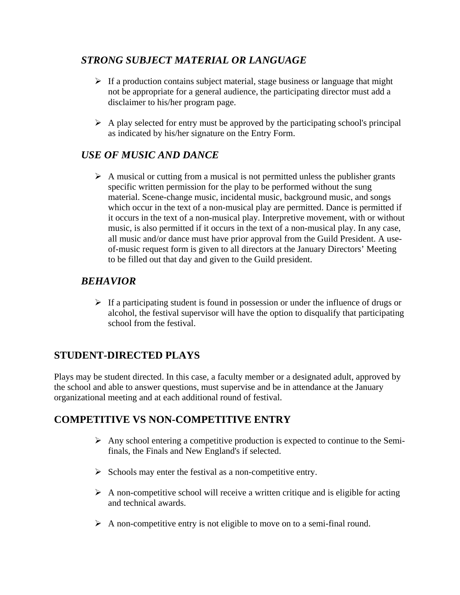## *STRONG SUBJECT MATERIAL OR LANGUAGE*

- $\triangleright$  If a production contains subject material, stage business or language that might not be appropriate for a general audience, the participating director must add a disclaimer to his/her program page.
- $\triangleright$  A play selected for entry must be approved by the participating school's principal as indicated by his/her signature on the Entry Form.

#### *USE OF MUSIC AND DANCE*

 $\triangleright$  A musical or cutting from a musical is not permitted unless the publisher grants specific written permission for the play to be performed without the sung material. Scene-change music, incidental music, background music, and songs which occur in the text of a non-musical play are permitted. Dance is permitted if it occurs in the text of a non-musical play. Interpretive movement, with or without music, is also permitted if it occurs in the text of a non-musical play. In any case, all music and/or dance must have prior approval from the Guild President. A useof-music request form is given to all directors at the January Directors' Meeting to be filled out that day and given to the Guild president.

#### *BEHAVIOR*

 $\triangleright$  If a participating student is found in possession or under the influence of drugs or alcohol, the festival supervisor will have the option to disqualify that participating school from the festival.

#### **STUDENT-DIRECTED PLAYS**

Plays may be student directed. In this case, a faculty member or a designated adult, approved by the school and able to answer questions, must supervise and be in attendance at the January organizational meeting and at each additional round of festival.

## **COMPETITIVE VS NON-COMPETITIVE ENTRY**

- $\triangleright$  Any school entering a competitive production is expected to continue to the Semifinals, the Finals and New England's if selected.
- $\triangleright$  Schools may enter the festival as a non-competitive entry.
- $\triangleright$  A non-competitive school will receive a written critique and is eligible for acting and technical awards.
- $\triangleright$  A non-competitive entry is not eligible to move on to a semi-final round.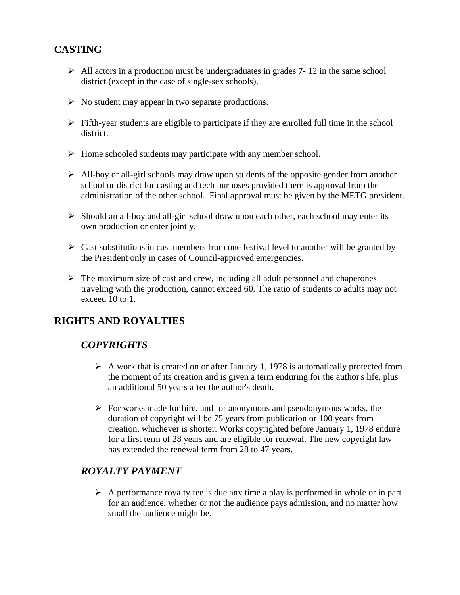## **CASTING**

- $\triangleright$  All actors in a production must be undergraduates in grades 7- 12 in the same school district (except in the case of single-sex schools).
- $\triangleright$  No student may appear in two separate productions.
- $\triangleright$  Fifth-year students are eligible to participate if they are enrolled full time in the school district.
- $\triangleright$  Home schooled students may participate with any member school.
- $\triangleright$  All-boy or all-girl schools may draw upon students of the opposite gender from another school or district for casting and tech purposes provided there is approval from the administration of the other school. Final approval must be given by the METG president.
- $\triangleright$  Should an all-boy and all-girl school draw upon each other, each school may enter its own production or enter jointly.
- $\triangleright$  Cast substitutions in cast members from one festival level to another will be granted by the President only in cases of Council-approved emergencies.
- $\triangleright$  The maximum size of cast and crew, including all adult personnel and chaperones traveling with the production, cannot exceed 60. The ratio of students to adults may not exceed 10 to 1.

## **RIGHTS AND ROYALTIES**

## *COPYRIGHTS*

- $\triangleright$  A work that is created on or after January 1, 1978 is automatically protected from the moment of its creation and is given a term enduring for the author's life, plus an additional 50 years after the author's death.
- $\triangleright$  For works made for hire, and for anonymous and pseudonymous works, the duration of copyright will be 75 years from publication or 100 years from creation, whichever is shorter. Works copyrighted before January 1, 1978 endure for a first term of 28 years and are eligible for renewal. The new copyright law has extended the renewal term from 28 to 47 years.

## *ROYALTY PAYMENT*

 $\triangleright$  A performance royalty fee is due any time a play is performed in whole or in part for an audience, whether or not the audience pays admission, and no matter how small the audience might be.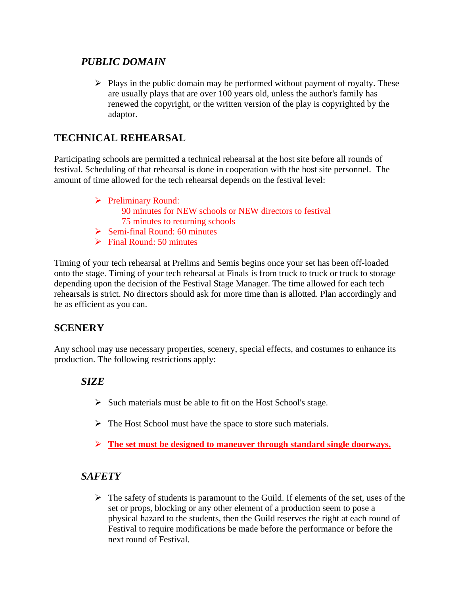### *PUBLIC DOMAIN*

 $\triangleright$  Plays in the public domain may be performed without payment of royalty. These are usually plays that are over 100 years old, unless the author's family has renewed the copyright, or the written version of the play is copyrighted by the adaptor.

## **TECHNICAL REHEARSAL**

Participating schools are permitted a technical rehearsal at the host site before all rounds of festival. Scheduling of that rehearsal is done in cooperation with the host site personnel. The amount of time allowed for the tech rehearsal depends on the festival level:

- $\triangleright$  Preliminary Round: 90 minutes for NEW schools or NEW directors to festival 75 minutes to returning schools
- $\triangleright$  Semi-final Round: 60 minutes  $\triangleright$  Final Round: 50 minutes

Timing of your tech rehearsal at Prelims and Semis begins once your set has been off-loaded onto the stage. Timing of your tech rehearsal at Finals is from truck to truck or truck to storage depending upon the decision of the Festival Stage Manager. The time allowed for each tech rehearsals is strict. No directors should ask for more time than is allotted. Plan accordingly and be as efficient as you can.

#### **SCENERY**

Any school may use necessary properties, scenery, special effects, and costumes to enhance its production. The following restrictions apply:

#### *SIZE*

- $\triangleright$  Such materials must be able to fit on the Host School's stage.
- $\triangleright$  The Host School must have the space to store such materials.
- **The set must be designed to maneuver through standard single doorways.**

#### *SAFETY*

 $\triangleright$  The safety of students is paramount to the Guild. If elements of the set, uses of the set or props, blocking or any other element of a production seem to pose a physical hazard to the students, then the Guild reserves the right at each round of Festival to require modifications be made before the performance or before the next round of Festival.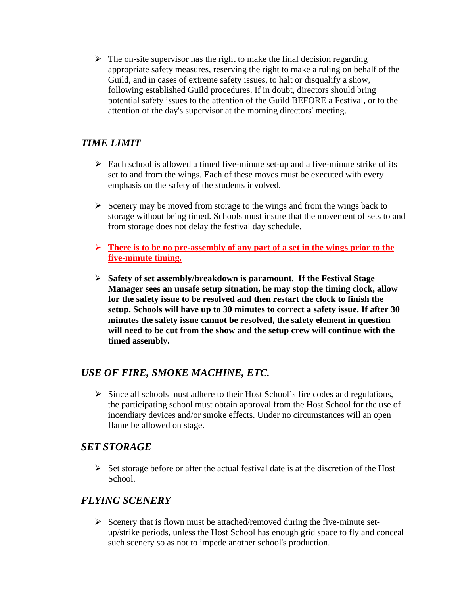$\triangleright$  The on-site supervisor has the right to make the final decision regarding appropriate safety measures, reserving the right to make a ruling on behalf of the Guild, and in cases of extreme safety issues, to halt or disqualify a show, following established Guild procedures. If in doubt, directors should bring potential safety issues to the attention of the Guild BEFORE a Festival, or to the attention of the day's supervisor at the morning directors' meeting.

#### *TIME LIMIT*

- $\triangleright$  Each school is allowed a timed five-minute set-up and a five-minute strike of its set to and from the wings. Each of these moves must be executed with every emphasis on the safety of the students involved.
- $\triangleright$  Scenery may be moved from storage to the wings and from the wings back to storage without being timed. Schools must insure that the movement of sets to and from storage does not delay the festival day schedule.
- **There is to be no pre-assembly of any part of a set in the wings prior to the five-minute timing.**
- **Safety of set assembly/breakdown is paramount. If the Festival Stage Manager sees an unsafe setup situation, he may stop the timing clock, allow for the safety issue to be resolved and then restart the clock to finish the setup. Schools will have up to 30 minutes to correct a safety issue. If after 30 minutes the safety issue cannot be resolved, the safety element in question will need to be cut from the show and the setup crew will continue with the timed assembly.**

#### *USE OF FIRE, SMOKE MACHINE, ETC.*

 $\triangleright$  Since all schools must adhere to their Host School's fire codes and regulations, the participating school must obtain approval from the Host School for the use of incendiary devices and/or smoke effects. Under no circumstances will an open flame be allowed on stage.

#### *SET STORAGE*

 $\triangleright$  Set storage before or after the actual festival date is at the discretion of the Host School.

#### *FLYING SCENERY*

 $\triangleright$  Scenery that is flown must be attached/removed during the five-minute setup/strike periods, unless the Host School has enough grid space to fly and conceal such scenery so as not to impede another school's production.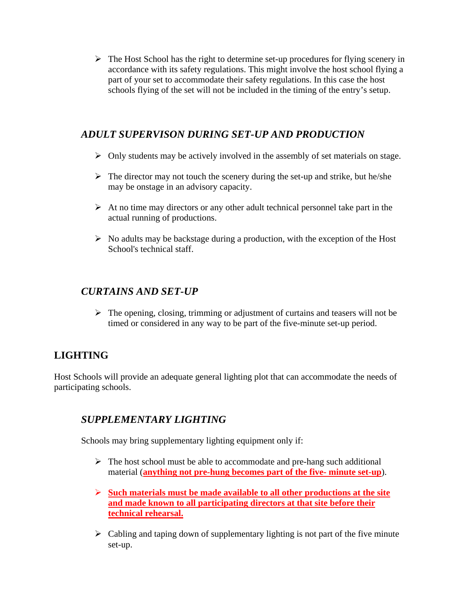$\triangleright$  The Host School has the right to determine set-up procedures for flying scenery in accordance with its safety regulations. This might involve the host school flying a part of your set to accommodate their safety regulations. In this case the host schools flying of the set will not be included in the timing of the entry's setup.

#### *ADULT SUPERVISON DURING SET-UP AND PRODUCTION*

- $\triangleright$  Only students may be actively involved in the assembly of set materials on stage.
- $\triangleright$  The director may not touch the scenery during the set-up and strike, but he/she may be onstage in an advisory capacity.
- $\triangleright$  At no time may directors or any other adult technical personnel take part in the actual running of productions.
- $\triangleright$  No adults may be backstage during a production, with the exception of the Host School's technical staff.

#### *CURTAINS AND SET-UP*

 $\triangleright$  The opening, closing, trimming or adjustment of curtains and teasers will not be timed or considered in any way to be part of the five-minute set-up period.

## **LIGHTING**

Host Schools will provide an adequate general lighting plot that can accommodate the needs of participating schools.

## *SUPPLEMENTARY LIGHTING*

Schools may bring supplementary lighting equipment only if:

- $\triangleright$  The host school must be able to accommodate and pre-hang such additional material (**anything not pre-hung becomes part of the five- minute set-up**).
- **Such materials must be made available to all other productions at the site and made known to all participating directors at that site before their technical rehearsal.**
- $\triangleright$  Cabling and taping down of supplementary lighting is not part of the five minute set-up.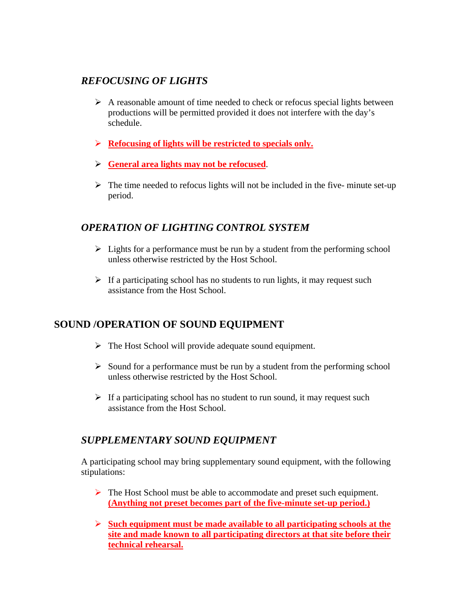#### *REFOCUSING OF LIGHTS*

- $\triangleright$  A reasonable amount of time needed to check or refocus special lights between productions will be permitted provided it does not interfere with the day's schedule.
- **Refocusing of lights will be restricted to specials only.**
- **General area lights may not be refocused**.
- $\triangleright$  The time needed to refocus lights will not be included in the five- minute set-up period.

#### *OPERATION OF LIGHTING CONTROL SYSTEM*

- $\triangleright$  Lights for a performance must be run by a student from the performing school unless otherwise restricted by the Host School.
- $\triangleright$  If a participating school has no students to run lights, it may request such assistance from the Host School.

#### **SOUND /OPERATION OF SOUND EQUIPMENT**

- $\triangleright$  The Host School will provide adequate sound equipment.
- $\triangleright$  Sound for a performance must be run by a student from the performing school unless otherwise restricted by the Host School.
- $\triangleright$  If a participating school has no student to run sound, it may request such assistance from the Host School.

## *SUPPLEMENTARY SOUND EQUIPMENT*

A participating school may bring supplementary sound equipment, with the following stipulations:

- $\triangleright$  The Host School must be able to accommodate and preset such equipment. **(Anything not preset becomes part of the five-minute set-up period.)**
- **Such equipment must be made available to all participating schools at the site and made known to all participating directors at that site before their technical rehearsal.**